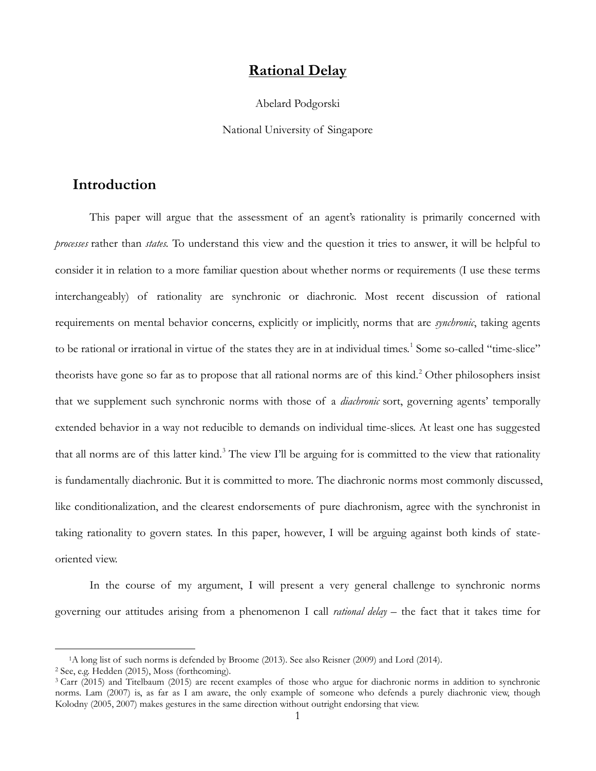### **Rational Delay**

Abelard Podgorski

National University of Singapore

# **Introduction**

This paper will argue that the assessment of an agent's rationality is primarily concerned with *processes* rather than *states.* To understand this view and the question it tries to answer, it will be helpful to consider it in relation to a more familiar question about whether norms or requirements (I use these terms interchangeably) of rationality are synchronic or diachronic. Most recent discussion of rational requirements on mental behavior concerns, explicitly or implicitly, norms that are *synchronic*, taking agents to be rational or irrational in virtue of the states they are in at individual times.<sup>[1](#page-0-0)</sup> Some so-called "time-slice" theorists have gone so far as to propose that all rational norms are of this kind. [2](#page-0-1) Other philosophers insist that we supplement such synchronic norms with those of a *diachronic* sort, governing agents' temporally extended behavior in a way not reducible to demands on individual time-slices. At least one has suggested that all norms are of this latter kind.<sup>[3](#page-0-2)</sup> The view I'll be arguing for is committed to the view that rationality is fundamentally diachronic. But it is committed to more. The diachronic norms most commonly discussed, like conditionalization, and the clearest endorsements of pure diachronism, agree with the synchronist in taking rationality to govern states. In this paper, however, I will be arguing against both kinds of stateoriented view.

In the course of my argument, I will present a very general challenge to synchronic norms governing our attitudes arising from a phenomenon I call *rational delay* – the fact that it takes time for

<span id="page-0-0"></span><sup>1</sup>A long list of such norms is defended by Broome (2013). See also Reisner (2009) and Lord (2014).

<span id="page-0-1"></span><sup>2</sup> See, e.g. Hedden (2015), Moss (forthcoming).

<span id="page-0-2"></span><sup>&</sup>lt;sup>3</sup> Carr (2015) and Titelbaum (2015) are recent examples of those who argue for diachronic norms in addition to synchronic norms. Lam (2007) is, as far as I am aware, the only example of someone who defends a purely diachronic view, though Kolodny (2005, 2007) makes gestures in the same direction without outright endorsing that view.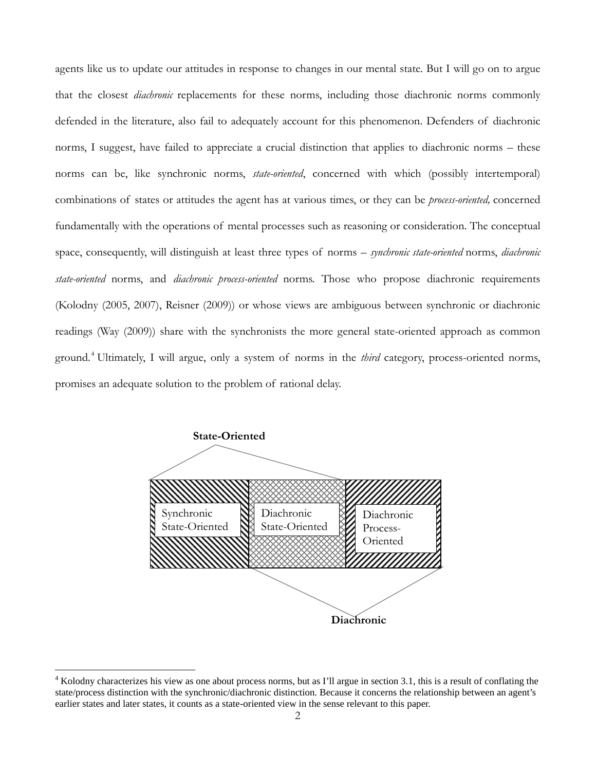agents like us to update our attitudes in response to changes in our mental state. But I will go on to argue that the closest *diachronic* replacements for these norms, including those diachronic norms commonly defended in the literature, also fail to adequately account for this phenomenon. Defenders of diachronic norms, I suggest, have failed to appreciate a crucial distinction that applies to diachronic norms – these norms can be, like synchronic norms, *state-oriented*, concerned with which (possibly intertemporal) combinations of states or attitudes the agent has at various times, or they can be *process-oriented,* concerned fundamentally with the operations of mental processes such as reasoning or consideration. The conceptual space, consequently, will distinguish at least three types of norms – *synchronic state-oriented* norms, *diachronic state-oriented* norms, and *diachronic process-oriented* norms. Those who propose diachronic requirements (Kolodny (2005, 2007), Reisner (2009)) or whose views are ambiguous between synchronic or diachronic readings (Way (2009)) share with the synchronists the more general state-oriented approach as common ground.[4](#page-1-0) Ultimately, I will argue, only a system of norms in the *third* category, process-oriented norms, promises an adequate solution to the problem of rational delay.



<span id="page-1-0"></span> $4$  Kolodny characterizes his view as one about process norms, but as I'll argue in section 3.1, this is a result of conflating the state/process distinction with the synchronic/diachronic distinction. Because it concerns the relationship between an agent's earlier states and later states, it counts as a state-oriented view in the sense relevant to this paper.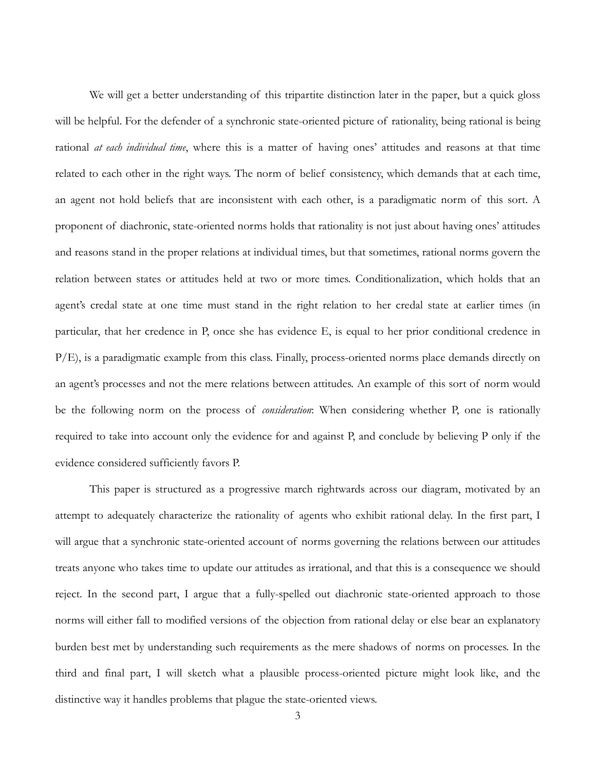We will get a better understanding of this tripartite distinction later in the paper, but a quick gloss will be helpful. For the defender of a synchronic state-oriented picture of rationality, being rational is being rational *at each individual time*, where this is a matter of having ones' attitudes and reasons at that time related to each other in the right ways. The norm of belief consistency, which demands that at each time, an agent not hold beliefs that are inconsistent with each other, is a paradigmatic norm of this sort. A proponent of diachronic, state-oriented norms holds that rationality is not just about having ones' attitudes and reasons stand in the proper relations at individual times, but that sometimes, rational norms govern the relation between states or attitudes held at two or more times. Conditionalization, which holds that an agent's credal state at one time must stand in the right relation to her credal state at earlier times (in particular, that her credence in P, once she has evidence E, is equal to her prior conditional credence in P/E), is a paradigmatic example from this class. Finally, process-oriented norms place demands directly on an agent's processes and not the mere relations between attitudes. An example of this sort of norm would be the following norm on the process of *consideration*: When considering whether P, one is rationally required to take into account only the evidence for and against P, and conclude by believing P only if the evidence considered sufficiently favors P.

This paper is structured as a progressive march rightwards across our diagram, motivated by an attempt to adequately characterize the rationality of agents who exhibit rational delay. In the first part, I will argue that a synchronic state-oriented account of norms governing the relations between our attitudes treats anyone who takes time to update our attitudes as irrational, and that this is a consequence we should reject. In the second part, I argue that a fully-spelled out diachronic state-oriented approach to those norms will either fall to modified versions of the objection from rational delay or else bear an explanatory burden best met by understanding such requirements as the mere shadows of norms on processes. In the third and final part, I will sketch what a plausible process-oriented picture might look like, and the distinctive way it handles problems that plague the state-oriented views.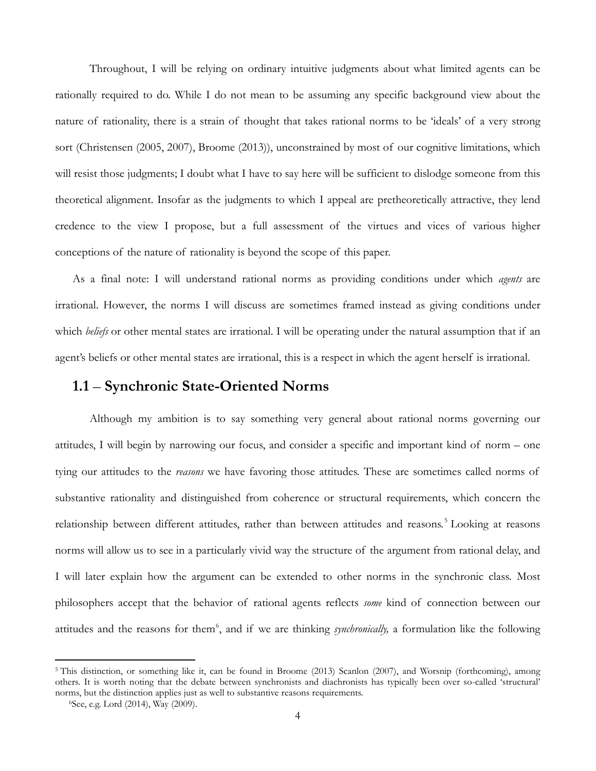Throughout, I will be relying on ordinary intuitive judgments about what limited agents can be rationally required to do. While I do not mean to be assuming any specific background view about the nature of rationality, there is a strain of thought that takes rational norms to be 'ideals' of a very strong sort (Christensen (2005, 2007), Broome (2013)), unconstrained by most of our cognitive limitations, which will resist those judgments; I doubt what I have to say here will be sufficient to dislodge someone from this theoretical alignment. Insofar as the judgments to which I appeal are pretheoretically attractive, they lend credence to the view I propose, but a full assessment of the virtues and vices of various higher conceptions of the nature of rationality is beyond the scope of this paper.

As a final note: I will understand rational norms as providing conditions under which *agents* are irrational. However, the norms I will discuss are sometimes framed instead as giving conditions under which *beliefs* or other mental states are irrational. I will be operating under the natural assumption that if an agent's beliefs or other mental states are irrational, this is a respect in which the agent herself is irrational.

#### **1.1** – **Synchronic State-Oriented Norms**

Although my ambition is to say something very general about rational norms governing our attitudes, I will begin by narrowing our focus, and consider a specific and important kind of norm – one tying our attitudes to the *reasons* we have favoring those attitudes. These are sometimes called norms of substantive rationality and distinguished from coherence or structural requirements, which concern the relationship between different attitudes, rather than between attitudes and reasons.<sup>[5](#page-3-0)</sup> Looking at reasons norms will allow us to see in a particularly vivid way the structure of the argument from rational delay, and I will later explain how the argument can be extended to other norms in the synchronic class. Most philosophers accept that the behavior of rational agents reflects *some* kind of connection between our attitudes and the reasons for them<sup>[6](#page-3-1)</sup>, and if we are thinking *synchronically*, a formulation like the following

<span id="page-3-1"></span><span id="page-3-0"></span><sup>&</sup>lt;sup>5</sup> This distinction, or something like it, can be found in Broome (2013) Scanlon (2007), and Worsnip (forthcoming), among others. It is worth noting that the debate between synchronists and diachronists has typically been over so-called 'structural' norms, but the distinction applies just as well to substantive reasons requirements.

<sup>6</sup>See, e.g. Lord (2014), Way (2009).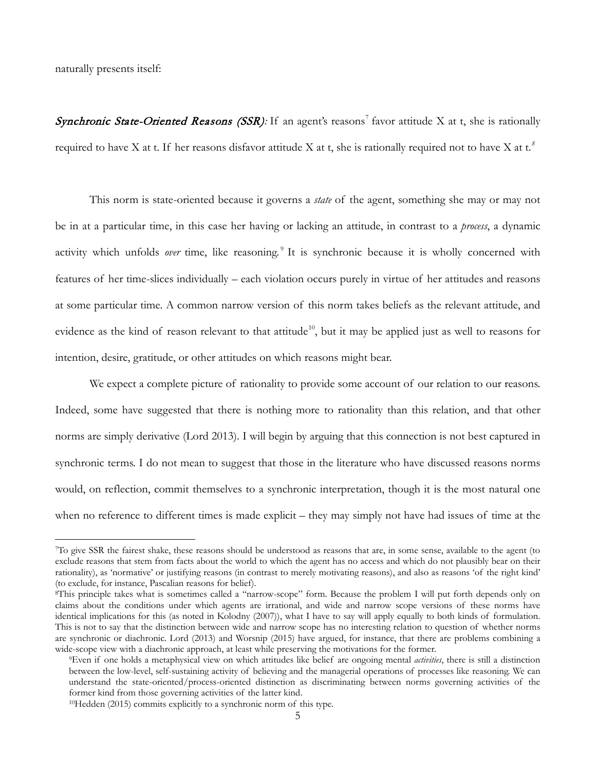naturally presents itself:

 $\overline{a}$ 

Synchronic State-Oriented Reasons (SSR): If an agent's reasons<sup>[7](#page-4-0)</sup> favor attitude X at t, she is rationally required to have X at t. If her reasons disfavor attitude X at t, she is rationally required not to have X at t.*[8](#page-4-1)*

This norm is state-oriented because it governs a *state* of the agent, something she may or may not be in at a particular time, in this case her having or lacking an attitude, in contrast to a *process*, a dynamic activity which unfolds *over* time, like reasoning.<sup>[9](#page-4-2)</sup> It is synchronic because it is wholly concerned with features of her time-slices individually – each violation occurs purely in virtue of her attitudes and reasons at some particular time. A common narrow version of this norm takes beliefs as the relevant attitude, and evidence as the kind of reason relevant to that attitude<sup>10</sup>, but it may be applied just as well to reasons for intention, desire, gratitude, or other attitudes on which reasons might bear.

We expect a complete picture of rationality to provide some account of our relation to our reasons. Indeed, some have suggested that there is nothing more to rationality than this relation, and that other norms are simply derivative (Lord 2013). I will begin by arguing that this connection is not best captured in synchronic terms. I do not mean to suggest that those in the literature who have discussed reasons norms would, on reflection, commit themselves to a synchronic interpretation, though it is the most natural one when no reference to different times is made explicit – they may simply not have had issues of time at the

<span id="page-4-0"></span><sup>7</sup>To give SSR the fairest shake, these reasons should be understood as reasons that are, in some sense, available to the agent (to exclude reasons that stem from facts about the world to which the agent has no access and which do not plausibly bear on their rationality), as 'normative' or justifying reasons (in contrast to merely motivating reasons), and also as reasons 'of the right kind' (to exclude, for instance, Pascalian reasons for belief).

<span id="page-4-1"></span><sup>8</sup>This principle takes what is sometimes called a "narrow-scope" form. Because the problem I will put forth depends only on claims about the conditions under which agents are irrational, and wide and narrow scope versions of these norms have identical implications for this (as noted in Kolodny (2007)), what I have to say will apply equally to both kinds of formulation. This is not to say that the distinction between wide and narrow scope has no interesting relation to question of whether norms are synchronic or diachronic. Lord (2013) and Worsnip (2015) have argued, for instance, that there are problems combining a wide-scope view with a diachronic approach, at least while preserving the motivations for the former.

<span id="page-4-2"></span><sup>9</sup>Even if one holds a metaphysical view on which attitudes like belief are ongoing mental *activities*, there is still a distinction between the low-level, self-sustaining activity of believing and the managerial operations of processes like reasoning. We can understand the state-oriented/process-oriented distinction as discriminating between norms governing activities of the former kind from those governing activities of the latter kind.

<span id="page-4-3"></span><sup>10</sup>Hedden (2015) commits explicitly to a synchronic norm of this type.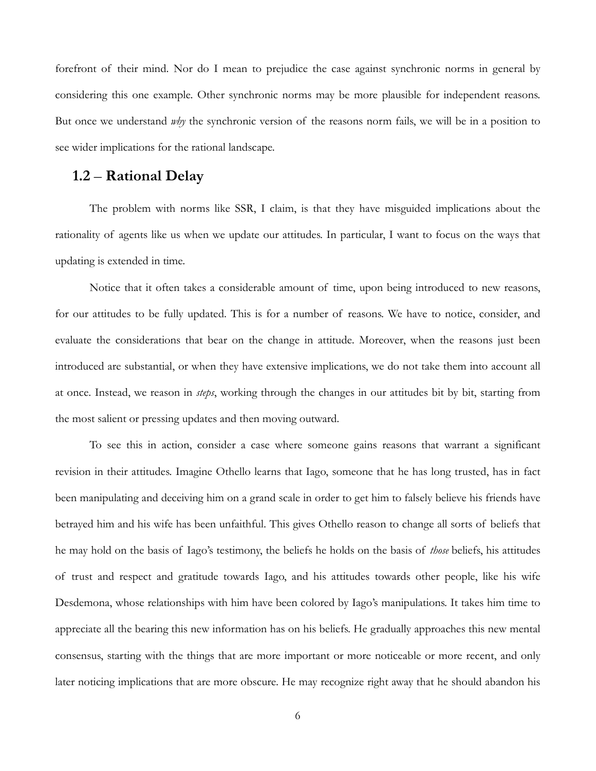forefront of their mind. Nor do I mean to prejudice the case against synchronic norms in general by considering this one example. Other synchronic norms may be more plausible for independent reasons. But once we understand *why* the synchronic version of the reasons norm fails, we will be in a position to see wider implications for the rational landscape.

# **1.2** – **Rational Delay**

The problem with norms like SSR, I claim, is that they have misguided implications about the rationality of agents like us when we update our attitudes. In particular, I want to focus on the ways that updating is extended in time.

Notice that it often takes a considerable amount of time, upon being introduced to new reasons, for our attitudes to be fully updated. This is for a number of reasons. We have to notice, consider, and evaluate the considerations that bear on the change in attitude. Moreover, when the reasons just been introduced are substantial, or when they have extensive implications, we do not take them into account all at once. Instead, we reason in *steps*, working through the changes in our attitudes bit by bit, starting from the most salient or pressing updates and then moving outward.

To see this in action, consider a case where someone gains reasons that warrant a significant revision in their attitudes. Imagine Othello learns that Iago, someone that he has long trusted, has in fact been manipulating and deceiving him on a grand scale in order to get him to falsely believe his friends have betrayed him and his wife has been unfaithful. This gives Othello reason to change all sorts of beliefs that he may hold on the basis of Iago's testimony, the beliefs he holds on the basis of *those* beliefs, his attitudes of trust and respect and gratitude towards Iago, and his attitudes towards other people, like his wife Desdemona, whose relationships with him have been colored by Iago's manipulations. It takes him time to appreciate all the bearing this new information has on his beliefs. He gradually approaches this new mental consensus, starting with the things that are more important or more noticeable or more recent, and only later noticing implications that are more obscure. He may recognize right away that he should abandon his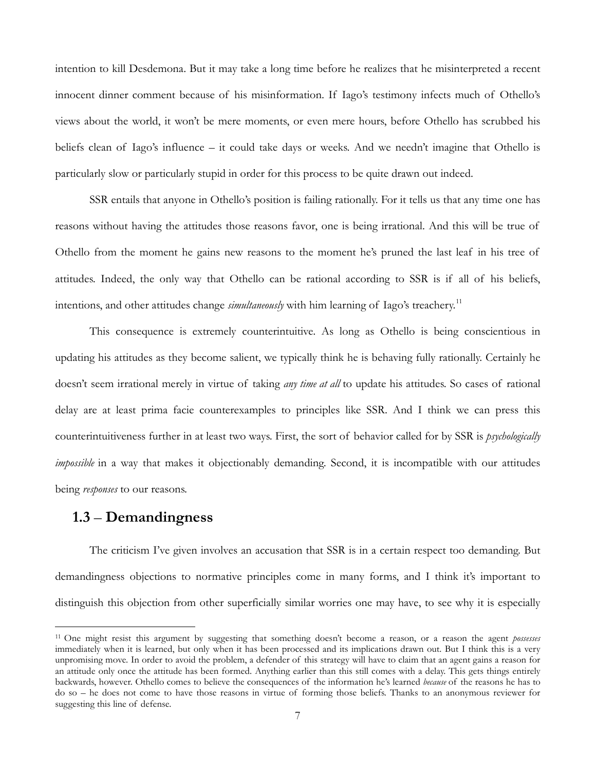intention to kill Desdemona. But it may take a long time before he realizes that he misinterpreted a recent innocent dinner comment because of his misinformation. If Iago's testimony infects much of Othello's views about the world, it won't be mere moments, or even mere hours, before Othello has scrubbed his beliefs clean of Iago's influence – it could take days or weeks. And we needn't imagine that Othello is particularly slow or particularly stupid in order for this process to be quite drawn out indeed.

SSR entails that anyone in Othello's position is failing rationally. For it tells us that any time one has reasons without having the attitudes those reasons favor, one is being irrational. And this will be true of Othello from the moment he gains new reasons to the moment he's pruned the last leaf in his tree of attitudes. Indeed, the only way that Othello can be rational according to SSR is if all of his beliefs, intentions, and other attitudes change *simultaneously* with him learning of Iago's treachery.<sup>11</sup>

This consequence is extremely counterintuitive. As long as Othello is being conscientious in updating his attitudes as they become salient, we typically think he is behaving fully rationally. Certainly he doesn't seem irrational merely in virtue of taking *any time at all* to update his attitudes. So cases of rational delay are at least prima facie counterexamples to principles like SSR. And I think we can press this counterintuitiveness further in at least two ways. First, the sort of behavior called for by SSR is *psychologically impossible* in a way that makes it objectionably demanding. Second, it is incompatible with our attitudes being *responses* to our reasons.

#### **1.3** – **Demandingness**

 $\overline{a}$ 

The criticism I've given involves an accusation that SSR is in a certain respect too demanding. But demandingness objections to normative principles come in many forms, and I think it's important to distinguish this objection from other superficially similar worries one may have, to see why it is especially

<span id="page-6-0"></span><sup>11</sup> One might resist this argument by suggesting that something doesn't become a reason, or a reason the agent *possesses* immediately when it is learned, but only when it has been processed and its implications drawn out. But I think this is a very unpromising move. In order to avoid the problem, a defender of this strategy will have to claim that an agent gains a reason for an attitude only once the attitude has been formed. Anything earlier than this still comes with a delay. This gets things entirely backwards, however. Othello comes to believe the consequences of the information he's learned *because* of the reasons he has to do so – he does not come to have those reasons in virtue of forming those beliefs. Thanks to an anonymous reviewer for suggesting this line of defense.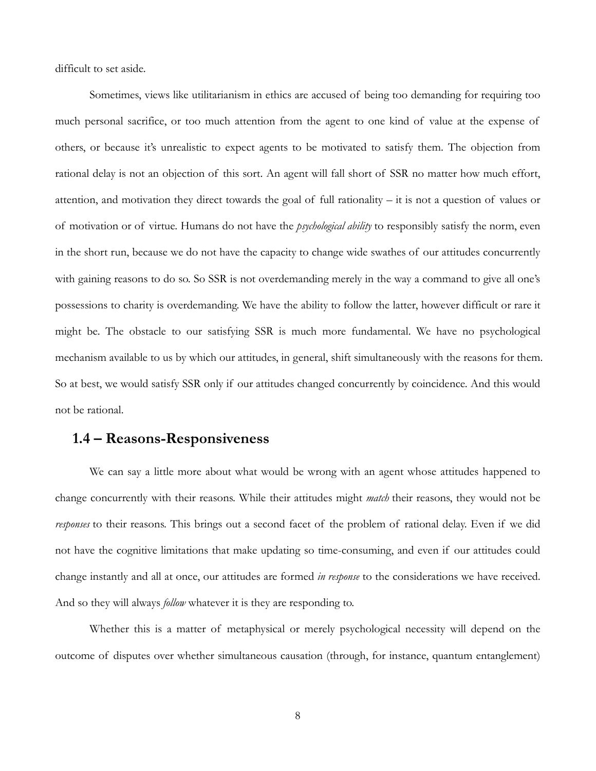difficult to set aside.

Sometimes, views like utilitarianism in ethics are accused of being too demanding for requiring too much personal sacrifice, or too much attention from the agent to one kind of value at the expense of others, or because it's unrealistic to expect agents to be motivated to satisfy them. The objection from rational delay is not an objection of this sort. An agent will fall short of SSR no matter how much effort, attention, and motivation they direct towards the goal of full rationality – it is not a question of values or of motivation or of virtue. Humans do not have the *psychological ability* to responsibly satisfy the norm, even in the short run, because we do not have the capacity to change wide swathes of our attitudes concurrently with gaining reasons to do so. So SSR is not overdemanding merely in the way a command to give all one's possessions to charity is overdemanding. We have the ability to follow the latter, however difficult or rare it might be. The obstacle to our satisfying SSR is much more fundamental. We have no psychological mechanism available to us by which our attitudes, in general, shift simultaneously with the reasons for them. So at best, we would satisfy SSR only if our attitudes changed concurrently by coincidence. And this would not be rational.

# **1.4 – Reasons-Responsiveness**

We can say a little more about what would be wrong with an agent whose attitudes happened to change concurrently with their reasons. While their attitudes might *match* their reasons, they would not be *responses* to their reasons. This brings out a second facet of the problem of rational delay. Even if we did not have the cognitive limitations that make updating so time-consuming, and even if our attitudes could change instantly and all at once, our attitudes are formed *in response* to the considerations we have received. And so they will always *follow* whatever it is they are responding to.

Whether this is a matter of metaphysical or merely psychological necessity will depend on the outcome of disputes over whether simultaneous causation (through, for instance, quantum entanglement)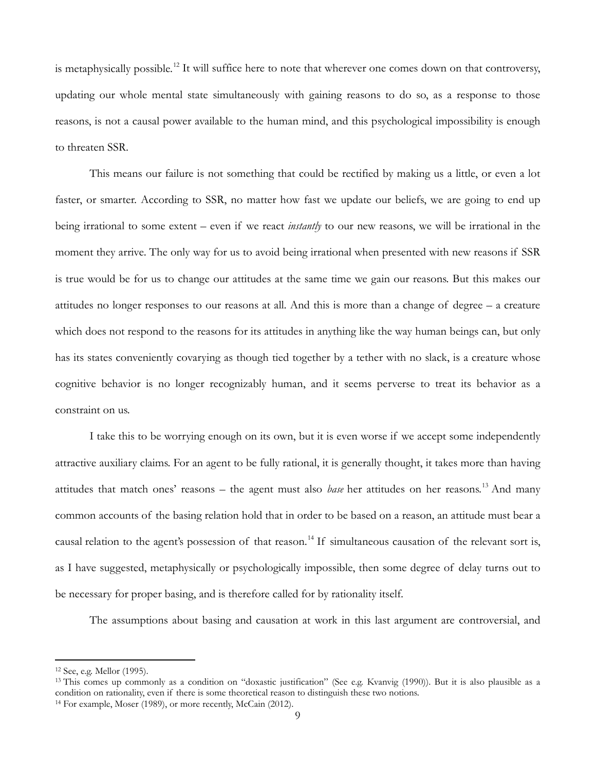is metaphysically possible.<sup>[12](#page-8-0)</sup> It will suffice here to note that wherever one comes down on that controversy, updating our whole mental state simultaneously with gaining reasons to do so, as a response to those reasons, is not a causal power available to the human mind, and this psychological impossibility is enough to threaten SSR.

This means our failure is not something that could be rectified by making us a little, or even a lot faster, or smarter. According to SSR, no matter how fast we update our beliefs, we are going to end up being irrational to some extent – even if we react *instantly* to our new reasons, we will be irrational in the moment they arrive. The only way for us to avoid being irrational when presented with new reasons if SSR is true would be for us to change our attitudes at the same time we gain our reasons. But this makes our attitudes no longer responses to our reasons at all. And this is more than a change of degree – a creature which does not respond to the reasons for its attitudes in anything like the way human beings can, but only has its states conveniently covarying as though tied together by a tether with no slack, is a creature whose cognitive behavior is no longer recognizably human, and it seems perverse to treat its behavior as a constraint on us.

I take this to be worrying enough on its own, but it is even worse if we accept some independently attractive auxiliary claims. For an agent to be fully rational, it is generally thought, it takes more than having attitudes that match ones' reasons – the agent must also *base* her attitudes on her reasons.[13](#page-8-1) And many common accounts of the basing relation hold that in order to be based on a reason, an attitude must bear a causal relation to the agent's possession of that reason.<sup>[14](#page-8-2)</sup> If simultaneous causation of the relevant sort is, as I have suggested, metaphysically or psychologically impossible, then some degree of delay turns out to be necessary for proper basing, and is therefore called for by rationality itself.

The assumptions about basing and causation at work in this last argument are controversial, and

<span id="page-8-0"></span><sup>12</sup> See, e.g. Mellor (1995).

<span id="page-8-2"></span><span id="page-8-1"></span><sup>&</sup>lt;sup>13</sup> This comes up commonly as a condition on "doxastic justification" (See e.g. Kvanvig (1990)). But it is also plausible as a condition on rationality, even if there is some theoretical reason to distinguish these two notions.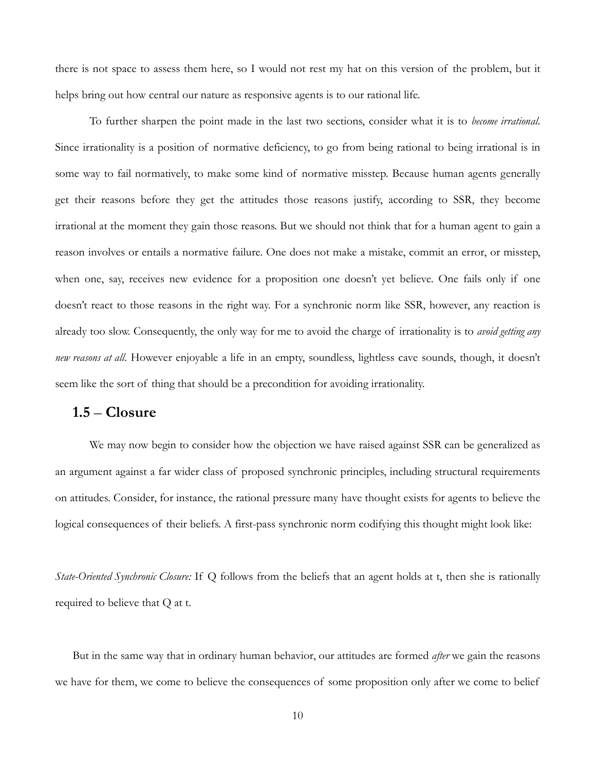there is not space to assess them here, so I would not rest my hat on this version of the problem, but it helps bring out how central our nature as responsive agents is to our rational life.

To further sharpen the point made in the last two sections, consider what it is to *become irrational*. Since irrationality is a position of normative deficiency, to go from being rational to being irrational is in some way to fail normatively, to make some kind of normative misstep. Because human agents generally get their reasons before they get the attitudes those reasons justify, according to SSR, they become irrational at the moment they gain those reasons. But we should not think that for a human agent to gain a reason involves or entails a normative failure. One does not make a mistake, commit an error, or misstep, when one, say, receives new evidence for a proposition one doesn't yet believe. One fails only if one doesn't react to those reasons in the right way. For a synchronic norm like SSR, however, any reaction is already too slow. Consequently, the only way for me to avoid the charge of irrationality is to *avoid getting any new reasons at all*. However enjoyable a life in an empty, soundless, lightless cave sounds, though, it doesn't seem like the sort of thing that should be a precondition for avoiding irrationality.

#### **1.5** – **Closure**

We may now begin to consider how the objection we have raised against SSR can be generalized as an argument against a far wider class of proposed synchronic principles, including structural requirements on attitudes. Consider, for instance, the rational pressure many have thought exists for agents to believe the logical consequences of their beliefs. A first-pass synchronic norm codifying this thought might look like:

*State-Oriented Synchronic Closure:* If Q follows from the beliefs that an agent holds at t, then she is rationally required to believe that Q at t.

But in the same way that in ordinary human behavior, our attitudes are formed *after* we gain the reasons we have for them, we come to believe the consequences of some proposition only after we come to belief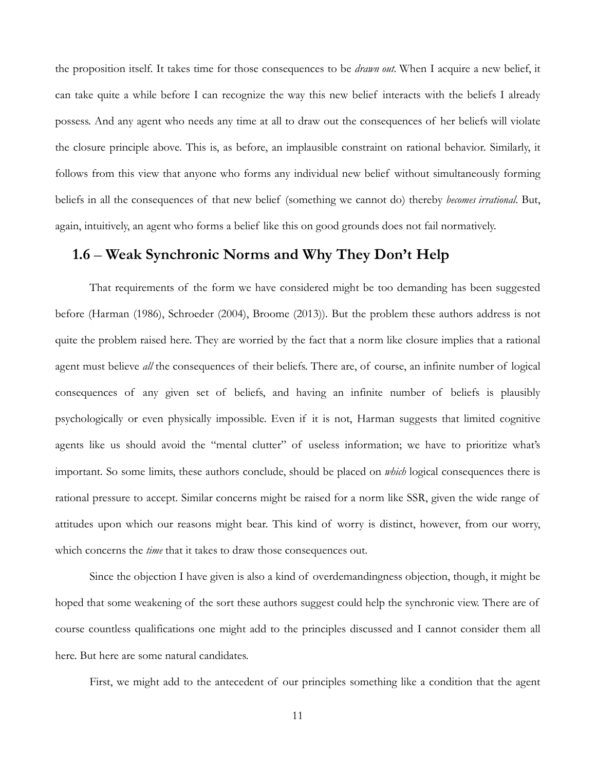the proposition itself. It takes time for those consequences to be *drawn out.* When I acquire a new belief, it can take quite a while before I can recognize the way this new belief interacts with the beliefs I already possess. And any agent who needs any time at all to draw out the consequences of her beliefs will violate the closure principle above. This is, as before, an implausible constraint on rational behavior. Similarly, it follows from this view that anyone who forms any individual new belief without simultaneously forming beliefs in all the consequences of that new belief (something we cannot do) thereby *becomes irrational*. But, again, intuitively, an agent who forms a belief like this on good grounds does not fail normatively.

#### **1.6** – **Weak Synchronic Norms and Why They Don't Help**

That requirements of the form we have considered might be too demanding has been suggested before (Harman (1986), Schroeder (2004), Broome (2013)). But the problem these authors address is not quite the problem raised here. They are worried by the fact that a norm like closure implies that a rational agent must believe *all* the consequences of their beliefs. There are, of course, an infinite number of logical consequences of any given set of beliefs, and having an infinite number of beliefs is plausibly psychologically or even physically impossible. Even if it is not, Harman suggests that limited cognitive agents like us should avoid the "mental clutter" of useless information; we have to prioritize what's important. So some limits, these authors conclude, should be placed on *which* logical consequences there is rational pressure to accept. Similar concerns might be raised for a norm like SSR, given the wide range of attitudes upon which our reasons might bear. This kind of worry is distinct, however, from our worry, which concerns the *time* that it takes to draw those consequences out.

Since the objection I have given is also a kind of overdemandingness objection, though, it might be hoped that some weakening of the sort these authors suggest could help the synchronic view. There are of course countless qualifications one might add to the principles discussed and I cannot consider them all here. But here are some natural candidates.

First, we might add to the antecedent of our principles something like a condition that the agent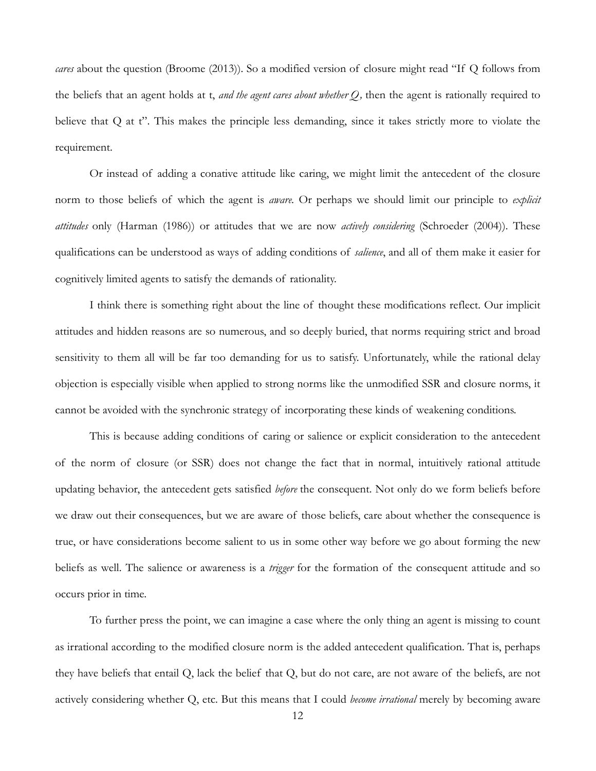*cares* about the question (Broome (2013)). So a modified version of closure might read "If Q follows from the beliefs that an agent holds at t, *and the agent cares about whether Q,* then the agent is rationally required to believe that Q at t". This makes the principle less demanding, since it takes strictly more to violate the requirement.

Or instead of adding a conative attitude like caring, we might limit the antecedent of the closure norm to those beliefs of which the agent is *aware.* Or perhaps we should limit our principle to *explicit attitudes* only (Harman (1986)) or attitudes that we are now *actively considering* (Schroeder (2004)). These qualifications can be understood as ways of adding conditions of *salience*, and all of them make it easier for cognitively limited agents to satisfy the demands of rationality.

I think there is something right about the line of thought these modifications reflect. Our implicit attitudes and hidden reasons are so numerous, and so deeply buried, that norms requiring strict and broad sensitivity to them all will be far too demanding for us to satisfy. Unfortunately, while the rational delay objection is especially visible when applied to strong norms like the unmodified SSR and closure norms, it cannot be avoided with the synchronic strategy of incorporating these kinds of weakening conditions.

This is because adding conditions of caring or salience or explicit consideration to the antecedent of the norm of closure (or SSR) does not change the fact that in normal, intuitively rational attitude updating behavior, the antecedent gets satisfied *before* the consequent. Not only do we form beliefs before we draw out their consequences, but we are aware of those beliefs, care about whether the consequence is true, or have considerations become salient to us in some other way before we go about forming the new beliefs as well. The salience or awareness is a *trigger* for the formation of the consequent attitude and so occurs prior in time.

To further press the point, we can imagine a case where the only thing an agent is missing to count as irrational according to the modified closure norm is the added antecedent qualification. That is, perhaps they have beliefs that entail Q, lack the belief that Q, but do not care, are not aware of the beliefs, are not actively considering whether Q, etc. But this means that I could *become irrational* merely by becoming aware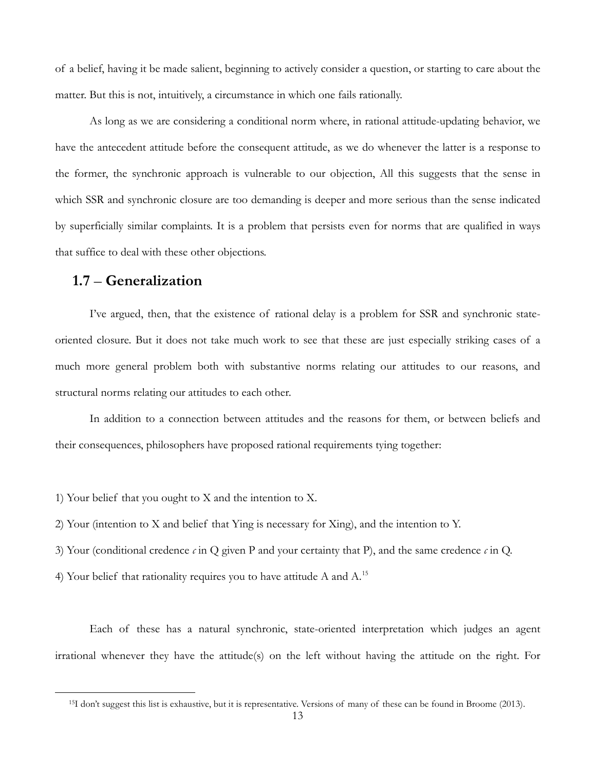of a belief, having it be made salient, beginning to actively consider a question, or starting to care about the matter. But this is not, intuitively, a circumstance in which one fails rationally.

As long as we are considering a conditional norm where, in rational attitude-updating behavior, we have the antecedent attitude before the consequent attitude, as we do whenever the latter is a response to the former, the synchronic approach is vulnerable to our objection, All this suggests that the sense in which SSR and synchronic closure are too demanding is deeper and more serious than the sense indicated by superficially similar complaints. It is a problem that persists even for norms that are qualified in ways that suffice to deal with these other objections.

#### **1.7** – **Generalization**

<span id="page-12-0"></span> $\overline{a}$ 

I've argued, then, that the existence of rational delay is a problem for SSR and synchronic stateoriented closure. But it does not take much work to see that these are just especially striking cases of a much more general problem both with substantive norms relating our attitudes to our reasons, and structural norms relating our attitudes to each other.

In addition to a connection between attitudes and the reasons for them, or between beliefs and their consequences, philosophers have proposed rational requirements tying together:

1) Your belief that you ought to X and the intention to X.

2) Your (intention to X and belief that Ying is necessary for Xing), and the intention to Y.

3) Your (conditional credence  $\epsilon$  in Q given P and your certainty that P), and the same credence  $\epsilon$  in Q.

4) Your belief that rationality requires you to have attitude A and A.<sup>[15](#page-12-0)</sup>

Each of these has a natural synchronic, state-oriented interpretation which judges an agent irrational whenever they have the attitude(s) on the left without having the attitude on the right. For

<sup>15</sup>I don't suggest this list is exhaustive, but it is representative. Versions of many of these can be found in Broome (2013).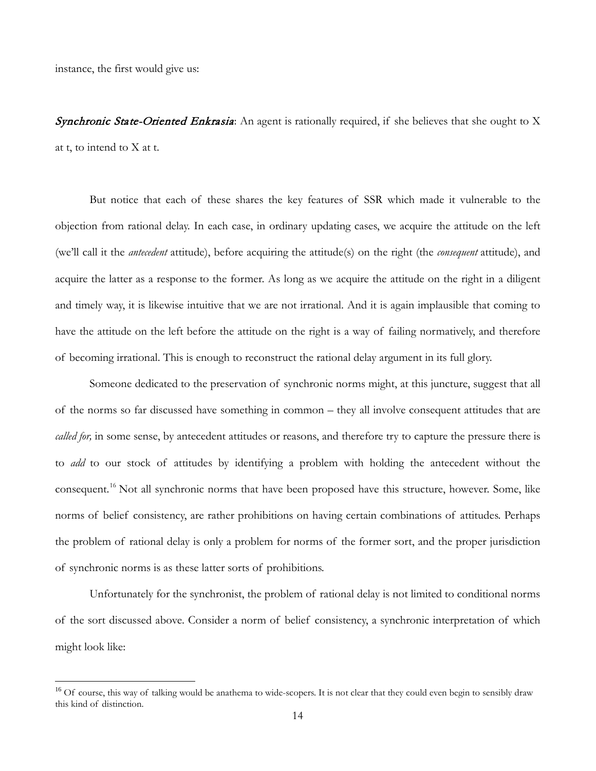instance, the first would give us:

**Synchronic State-Oriented Enkrasia**: An agent is rationally required, if she believes that she ought to X at t, to intend to X at t.

But notice that each of these shares the key features of SSR which made it vulnerable to the objection from rational delay. In each case, in ordinary updating cases, we acquire the attitude on the left (we'll call it the *antecedent* attitude), before acquiring the attitude(s) on the right (the *consequent* attitude), and acquire the latter as a response to the former. As long as we acquire the attitude on the right in a diligent and timely way, it is likewise intuitive that we are not irrational. And it is again implausible that coming to have the attitude on the left before the attitude on the right is a way of failing normatively, and therefore of becoming irrational. This is enough to reconstruct the rational delay argument in its full glory.

Someone dedicated to the preservation of synchronic norms might, at this juncture, suggest that all of the norms so far discussed have something in common – they all involve consequent attitudes that are *called for,* in some sense, by antecedent attitudes or reasons, and therefore try to capture the pressure there is to *add* to our stock of attitudes by identifying a problem with holding the antecedent without the consequent.<sup>[16](#page-13-0)</sup> Not all synchronic norms that have been proposed have this structure, however. Some, like norms of belief consistency, are rather prohibitions on having certain combinations of attitudes. Perhaps the problem of rational delay is only a problem for norms of the former sort, and the proper jurisdiction of synchronic norms is as these latter sorts of prohibitions.

Unfortunately for the synchronist, the problem of rational delay is not limited to conditional norms of the sort discussed above. Consider a norm of belief consistency, a synchronic interpretation of which might look like:

<span id="page-13-0"></span><sup>&</sup>lt;sup>16</sup> Of course, this way of talking would be anathema to wide-scopers. It is not clear that they could even begin to sensibly draw this kind of distinction.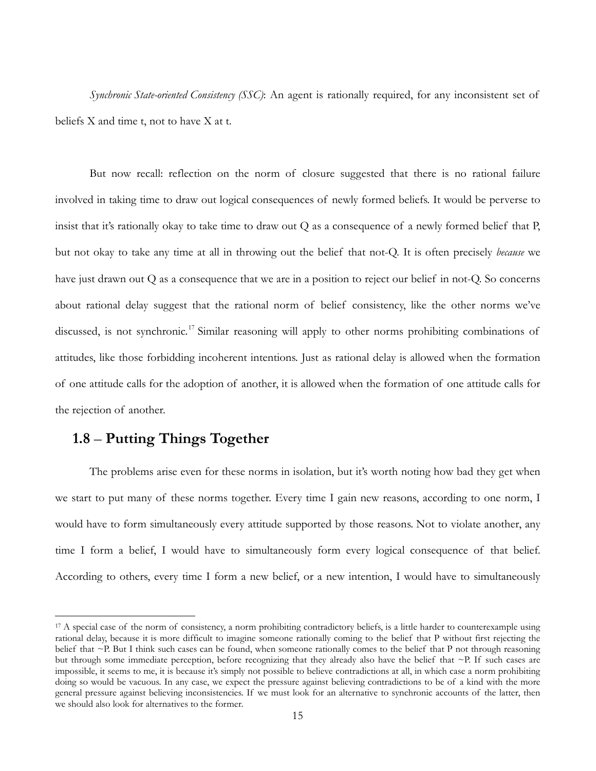*Synchronic State-oriented Consistency (SSC)*: An agent is rationally required, for any inconsistent set of beliefs X and time t, not to have X at t.

But now recall: reflection on the norm of closure suggested that there is no rational failure involved in taking time to draw out logical consequences of newly formed beliefs. It would be perverse to insist that it's rationally okay to take time to draw out  $Q$  as a consequence of a newly formed belief that  $P$ , but not okay to take any time at all in throwing out the belief that not-Q. It is often precisely *because* we have just drawn out Q as a consequence that we are in a position to reject our belief in not-Q. So concerns about rational delay suggest that the rational norm of belief consistency, like the other norms we've discussed, is not synchronic.<sup>[17](#page-14-0)</sup> Similar reasoning will apply to other norms prohibiting combinations of attitudes, like those forbidding incoherent intentions. Just as rational delay is allowed when the formation of one attitude calls for the adoption of another, it is allowed when the formation of one attitude calls for the rejection of another.

# **1.8** – **Putting Things Together**

 $\overline{a}$ 

The problems arise even for these norms in isolation, but it's worth noting how bad they get when we start to put many of these norms together. Every time I gain new reasons, according to one norm, I would have to form simultaneously every attitude supported by those reasons. Not to violate another, any time I form a belief, I would have to simultaneously form every logical consequence of that belief. According to others, every time I form a new belief, or a new intention, I would have to simultaneously

<span id="page-14-0"></span><sup>&</sup>lt;sup>17</sup> A special case of the norm of consistency, a norm prohibiting contradictory beliefs, is a little harder to counterexample using rational delay, because it is more difficult to imagine someone rationally coming to the belief that P without first rejecting the belief that ~P. But I think such cases can be found, when someone rationally comes to the belief that P not through reasoning but through some immediate perception, before recognizing that they already also have the belief that ~P. If such cases are impossible, it seems to me, it is because it's simply not possible to believe contradictions at all, in which case a norm prohibiting doing so would be vacuous. In any case, we expect the pressure against believing contradictions to be of a kind with the more general pressure against believing inconsistencies. If we must look for an alternative to synchronic accounts of the latter, then we should also look for alternatives to the former.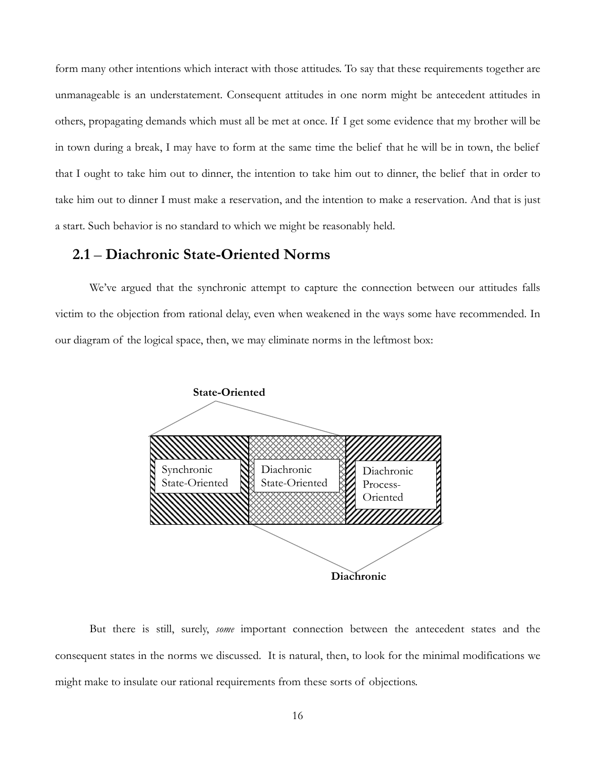form many other intentions which interact with those attitudes. To say that these requirements together are unmanageable is an understatement. Consequent attitudes in one norm might be antecedent attitudes in others, propagating demands which must all be met at once. If I get some evidence that my brother will be in town during a break, I may have to form at the same time the belief that he will be in town, the belief that I ought to take him out to dinner, the intention to take him out to dinner, the belief that in order to take him out to dinner I must make a reservation, and the intention to make a reservation. And that is just a start. Such behavior is no standard to which we might be reasonably held.

#### **2.1** – **Diachronic State-Oriented Norms**

We've argued that the synchronic attempt to capture the connection between our attitudes falls victim to the objection from rational delay, even when weakened in the ways some have recommended. In our diagram of the logical space, then, we may eliminate norms in the leftmost box:



But there is still, surely, *some* important connection between the antecedent states and the consequent states in the norms we discussed. It is natural, then, to look for the minimal modifications we might make to insulate our rational requirements from these sorts of objections.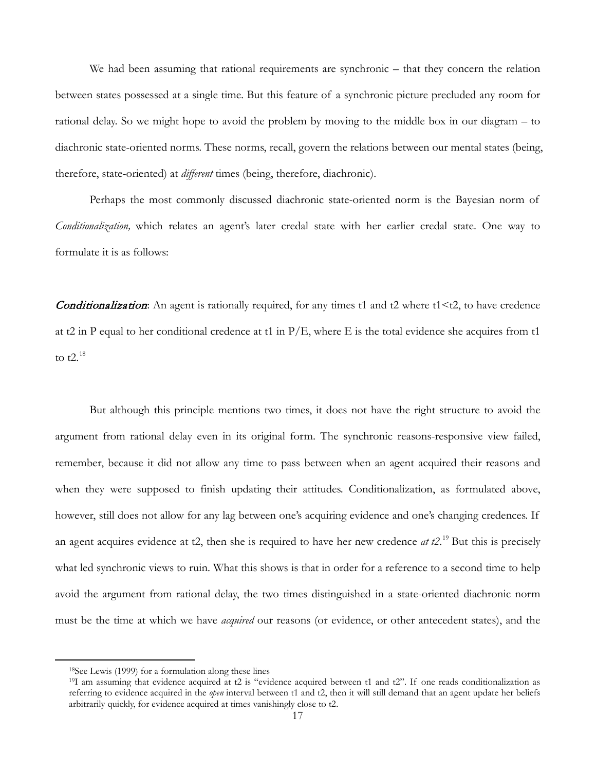We had been assuming that rational requirements are synchronic – that they concern the relation between states possessed at a single time. But this feature of a synchronic picture precluded any room for rational delay. So we might hope to avoid the problem by moving to the middle box in our diagram – to diachronic state-oriented norms. These norms, recall, govern the relations between our mental states (being, therefore, state-oriented) at *different* times (being, therefore, diachronic).

Perhaps the most commonly discussed diachronic state-oriented norm is the Bayesian norm of *Conditionalization,* which relates an agent's later credal state with her earlier credal state. One way to formulate it is as follows:

**Conditionalization:** An agent is rationally required, for any times t1 and t2 where t1 $\lt$ t2, to have credence at t2 in P equal to her conditional credence at t1 in P/E, where E is the total evidence she acquires from t1 to  $t2.^{18}$  $t2.^{18}$  $t2.^{18}$ 

But although this principle mentions two times, it does not have the right structure to avoid the argument from rational delay even in its original form. The synchronic reasons-responsive view failed, remember, because it did not allow any time to pass between when an agent acquired their reasons and when they were supposed to finish updating their attitudes. Conditionalization, as formulated above, however, still does not allow for any lag between one's acquiring evidence and one's changing credences. If an agent acquires evidence at t2, then she is required to have her new credence *at t2*. [19](#page-16-1) But this is precisely what led synchronic views to ruin. What this shows is that in order for a reference to a second time to help avoid the argument from rational delay, the two times distinguished in a state-oriented diachronic norm must be the time at which we have *acquired* our reasons (or evidence, or other antecedent states), and the

<sup>18</sup>See Lewis (1999) for a formulation along these lines

<span id="page-16-1"></span><span id="page-16-0"></span> $19I$  am assuming that evidence acquired at t2 is "evidence acquired between t1 and t2". If one reads conditionalization as referring to evidence acquired in the *open* interval between t1 and t2, then it will still demand that an agent update her beliefs arbitrarily quickly, for evidence acquired at times vanishingly close to t2.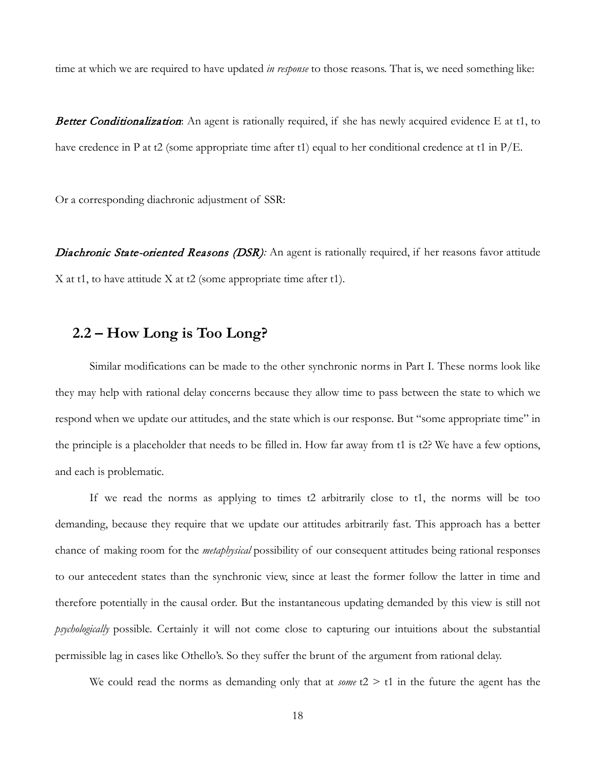time at which we are required to have updated *in response* to those reasons. That is, we need something like:

**Better Conditionalization:** An agent is rationally required, if she has newly acquired evidence E at t1, to have credence in P at t2 (some appropriate time after t1) equal to her conditional credence at t1 in  $P/E$ .

Or a corresponding diachronic adjustment of SSR:

Diachronic State-oriented Reasons (DSR): An agent is rationally required, if her reasons favor attitude X at t1, to have attitude X at t2 (some appropriate time after t1).

# **2.2 – How Long is Too Long?**

Similar modifications can be made to the other synchronic norms in Part I. These norms look like they may help with rational delay concerns because they allow time to pass between the state to which we respond when we update our attitudes, and the state which is our response. But "some appropriate time" in the principle is a placeholder that needs to be filled in. How far away from t1 is t2? We have a few options, and each is problematic.

If we read the norms as applying to times t2 arbitrarily close to t1, the norms will be too demanding, because they require that we update our attitudes arbitrarily fast. This approach has a better chance of making room for the *metaphysical* possibility of our consequent attitudes being rational responses to our antecedent states than the synchronic view, since at least the former follow the latter in time and therefore potentially in the causal order. But the instantaneous updating demanded by this view is still not *psychologically* possible. Certainly it will not come close to capturing our intuitions about the substantial permissible lag in cases like Othello's. So they suffer the brunt of the argument from rational delay.

We could read the norms as demanding only that at *some*  $t2 > t1$  in the future the agent has the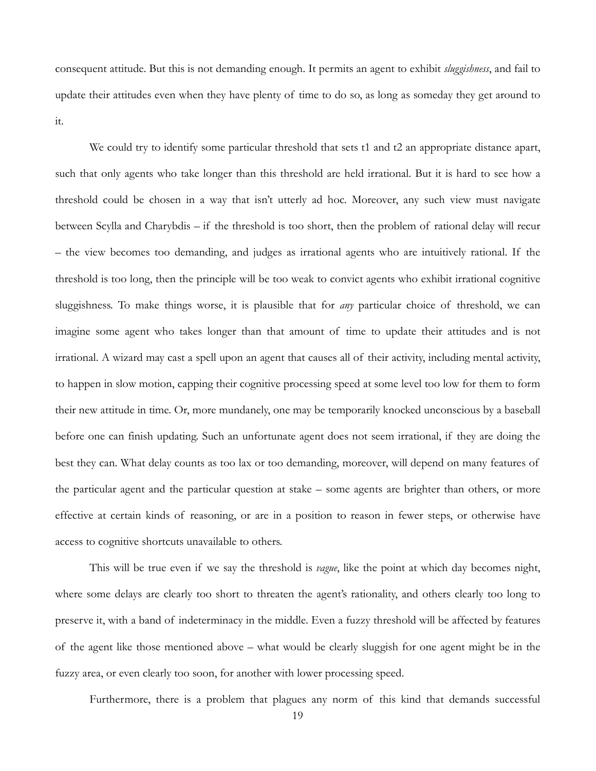consequent attitude. But this is not demanding enough. It permits an agent to exhibit *sluggishness*, and fail to update their attitudes even when they have plenty of time to do so, as long as someday they get around to it.

We could try to identify some particular threshold that sets t1 and t2 an appropriate distance apart, such that only agents who take longer than this threshold are held irrational. But it is hard to see how a threshold could be chosen in a way that isn't utterly ad hoc. Moreover, any such view must navigate between Scylla and Charybdis – if the threshold is too short, then the problem of rational delay will recur – the view becomes too demanding, and judges as irrational agents who are intuitively rational. If the threshold is too long, then the principle will be too weak to convict agents who exhibit irrational cognitive sluggishness. To make things worse, it is plausible that for *any* particular choice of threshold, we can imagine some agent who takes longer than that amount of time to update their attitudes and is not irrational. A wizard may cast a spell upon an agent that causes all of their activity, including mental activity, to happen in slow motion, capping their cognitive processing speed at some level too low for them to form their new attitude in time. Or, more mundanely, one may be temporarily knocked unconscious by a baseball before one can finish updating. Such an unfortunate agent does not seem irrational, if they are doing the best they can. What delay counts as too lax or too demanding, moreover, will depend on many features of the particular agent and the particular question at stake – some agents are brighter than others, or more effective at certain kinds of reasoning, or are in a position to reason in fewer steps, or otherwise have access to cognitive shortcuts unavailable to others.

This will be true even if we say the threshold is *vague*, like the point at which day becomes night, where some delays are clearly too short to threaten the agent's rationality, and others clearly too long to preserve it, with a band of indeterminacy in the middle. Even a fuzzy threshold will be affected by features of the agent like those mentioned above – what would be clearly sluggish for one agent might be in the fuzzy area, or even clearly too soon, for another with lower processing speed.

Furthermore, there is a problem that plagues any norm of this kind that demands successful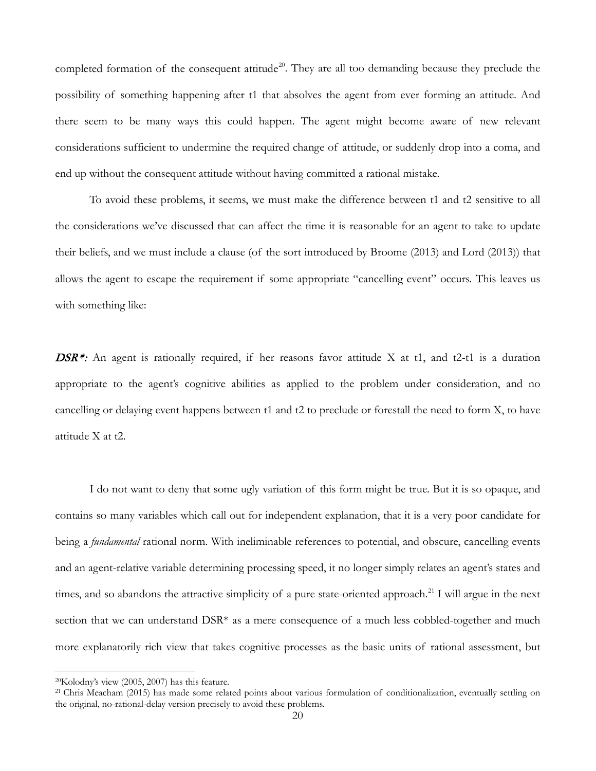completed formation of the consequent attitude<sup>20</sup>. They are all too demanding because they preclude the possibility of something happening after t1 that absolves the agent from ever forming an attitude. And there seem to be many ways this could happen. The agent might become aware of new relevant considerations sufficient to undermine the required change of attitude, or suddenly drop into a coma, and end up without the consequent attitude without having committed a rational mistake.

To avoid these problems, it seems, we must make the difference between t1 and t2 sensitive to all the considerations we've discussed that can affect the time it is reasonable for an agent to take to update their beliefs, and we must include a clause (of the sort introduced by Broome (2013) and Lord (2013)) that allows the agent to escape the requirement if some appropriate "cancelling event" occurs. This leaves us with something like:

**DSR\*:** An agent is rationally required, if her reasons favor attitude X at t1, and t2-t1 is a duration appropriate to the agent's cognitive abilities as applied to the problem under consideration, and no cancelling or delaying event happens between t1 and t2 to preclude or forestall the need to form X, to have attitude X at t2.

I do not want to deny that some ugly variation of this form might be true. But it is so opaque, and contains so many variables which call out for independent explanation, that it is a very poor candidate for being a *fundamental* rational norm. With ineliminable references to potential, and obscure, cancelling events and an agent-relative variable determining processing speed, it no longer simply relates an agent's states and times, and so abandons the attractive simplicity of a pure state-oriented approach.<sup>[21](#page-19-1)</sup> I will argue in the next section that we can understand DSR\* as a mere consequence of a much less cobbled-together and much more explanatorily rich view that takes cognitive processes as the basic units of rational assessment, but

<span id="page-19-0"></span><sup>20</sup>Kolodny's view (2005, 2007) has this feature.

<span id="page-19-1"></span><sup>&</sup>lt;sup>21</sup> Chris Meacham (2015) has made some related points about various formulation of conditionalization, eventually settling on the original, no-rational-delay version precisely to avoid these problems.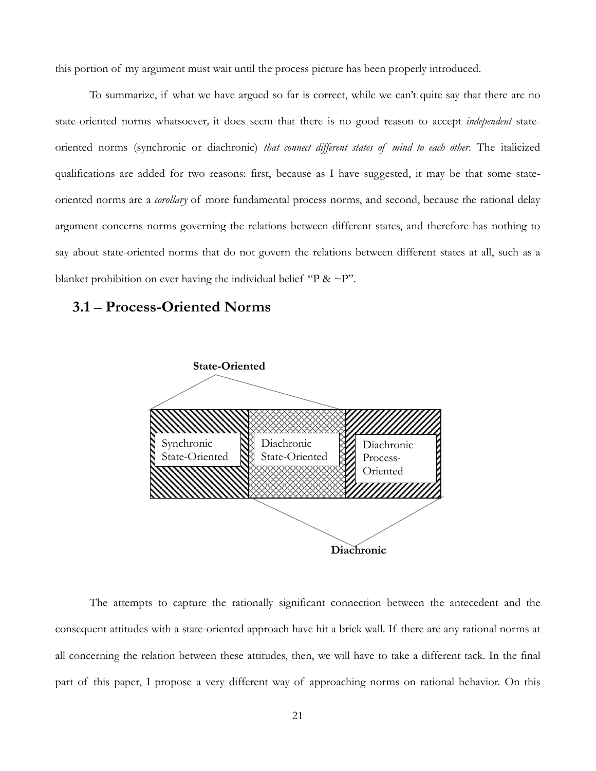this portion of my argument must wait until the process picture has been properly introduced.

To summarize, if what we have argued so far is correct, while we can't quite say that there are no state-oriented norms whatsoever*,* it does seem that there is no good reason to accept *independent* stateoriented norms (synchronic or diachronic) *that connect different states of mind to each other*. The italicized qualifications are added for two reasons: first, because as I have suggested, it may be that some stateoriented norms are a *corollary* of more fundamental process norms, and second, because the rational delay argument concerns norms governing the relations between different states, and therefore has nothing to say about state-oriented norms that do not govern the relations between different states at all, such as a blanket prohibition on ever having the individual belief "P &  $\sim$ P".

#### **3.1** – **Process-Oriented Norms**



The attempts to capture the rationally significant connection between the antecedent and the consequent attitudes with a state-oriented approach have hit a brick wall. If there are any rational norms at all concerning the relation between these attitudes, then, we will have to take a different tack. In the final part of this paper, I propose a very different way of approaching norms on rational behavior. On this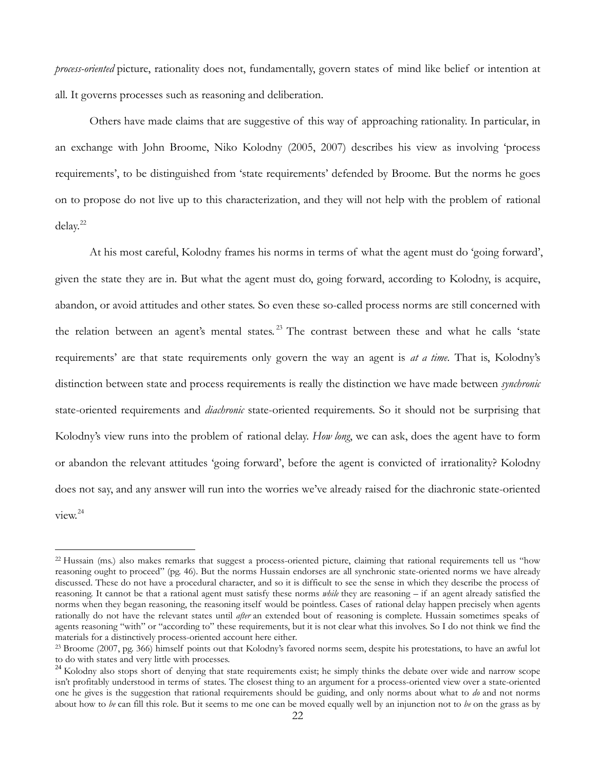*process-oriented* picture, rationality does not, fundamentally, govern states of mind like belief or intention at all*.* It governs processes such as reasoning and deliberation.

Others have made claims that are suggestive of this way of approaching rationality. In particular, in an exchange with John Broome, Niko Kolodny (2005, 2007) describes his view as involving 'process requirements', to be distinguished from 'state requirements' defended by Broome. But the norms he goes on to propose do not live up to this characterization, and they will not help with the problem of rational delay. [22](#page-21-0)

At his most careful, Kolodny frames his norms in terms of what the agent must do 'going forward', given the state they are in. But what the agent must do, going forward, according to Kolodny, is acquire, abandon, or avoid attitudes and other states. So even these so-called process norms are still concerned with the relation between an agent's mental states.<sup>[23](#page-21-1)</sup> The contrast between these and what he calls 'state requirements' are that state requirements only govern the way an agent is *at a time*. That is, Kolodny's distinction between state and process requirements is really the distinction we have made between *synchronic*  state-oriented requirements and *diachronic* state-oriented requirements. So it should not be surprising that Kolodny's view runs into the problem of rational delay. *How long*, we can ask, does the agent have to form or abandon the relevant attitudes 'going forward', before the agent is convicted of irrationality? Kolodny does not say, and any answer will run into the worries we've already raised for the diachronic state-oriented view. [24](#page-21-2)

<span id="page-21-0"></span><sup>&</sup>lt;sup>22</sup> Hussain (ms.) also makes remarks that suggest a process-oriented picture, claiming that rational requirements tell us "how reasoning ought to proceed" (pg. 46). But the norms Hussain endorses are all synchronic state-oriented norms we have already discussed. These do not have a procedural character, and so it is difficult to see the sense in which they describe the process of reasoning. It cannot be that a rational agent must satisfy these norms *while* they are reasoning – if an agent already satisfied the norms when they began reasoning, the reasoning itself would be pointless. Cases of rational delay happen precisely when agents rationally do not have the relevant states until *after* an extended bout of reasoning is complete. Hussain sometimes speaks of agents reasoning "with" or "according to" these requirements, but it is not clear what this involves. So I do not think we find the materials for a distinctively process-oriented account here either.

<span id="page-21-1"></span><sup>&</sup>lt;sup>23</sup> Broome (2007, pg. 366) himself points out that Kolodny's favored norms seem, despite his protestations, to have an awful lot to do with states and very little with processes.

<span id="page-21-2"></span><sup>&</sup>lt;sup>24</sup> Kolodny also stops short of denying that state requirements exist; he simply thinks the debate over wide and narrow scope isn't profitably understood in terms of states. The closest thing to an argument for a process-oriented view over a state-oriented one he gives is the suggestion that rational requirements should be guiding, and only norms about what to *do* and not norms about how to *be* can fill this role. But it seems to me one can be moved equally well by an injunction not to *be* on the grass as by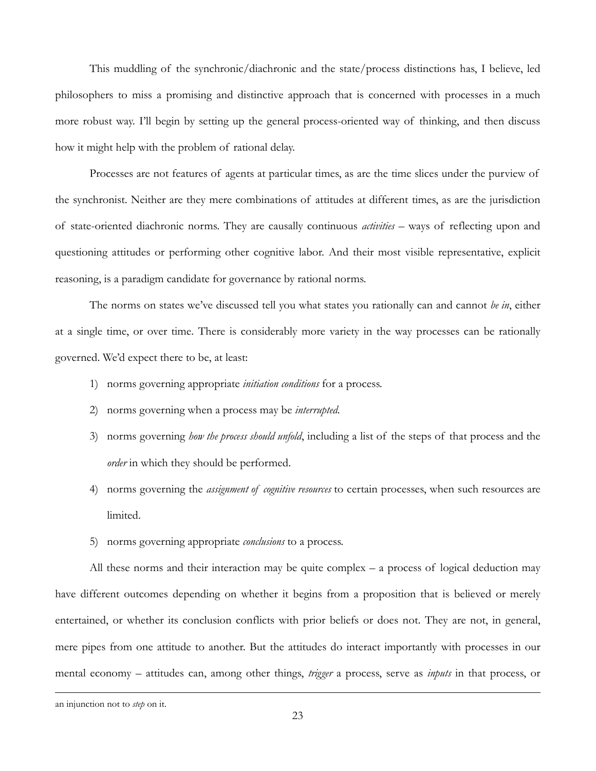This muddling of the synchronic/diachronic and the state/process distinctions has, I believe, led philosophers to miss a promising and distinctive approach that is concerned with processes in a much more robust way. I'll begin by setting up the general process-oriented way of thinking, and then discuss how it might help with the problem of rational delay.

Processes are not features of agents at particular times, as are the time slices under the purview of the synchronist. Neither are they mere combinations of attitudes at different times, as are the jurisdiction of state-oriented diachronic norms. They are causally continuous *activities* – ways of reflecting upon and questioning attitudes or performing other cognitive labor. And their most visible representative, explicit reasoning, is a paradigm candidate for governance by rational norms.

The norms on states we've discussed tell you what states you rationally can and cannot *be in*, either at a single time, or over time. There is considerably more variety in the way processes can be rationally governed. We'd expect there to be, at least:

- 1) norms governing appropriate *initiation conditions* for a process.
- 2) norms governing when a process may be *interrupted.*
- 3) norms governing *how the process should unfold*, including a list of the steps of that process and the *order* in which they should be performed.
- 4) norms governing the *assignment of cognitive resources* to certain processes, when such resources are limited.
- 5) norms governing appropriate *conclusions* to a process.

All these norms and their interaction may be quite complex – a process of logical deduction may have different outcomes depending on whether it begins from a proposition that is believed or merely entertained, or whether its conclusion conflicts with prior beliefs or does not. They are not, in general, mere pipes from one attitude to another. But the attitudes do interact importantly with processes in our mental economy – attitudes can, among other things, *trigger* a process, serve as *inputs* in that process, or

an injunction not to *step* on it.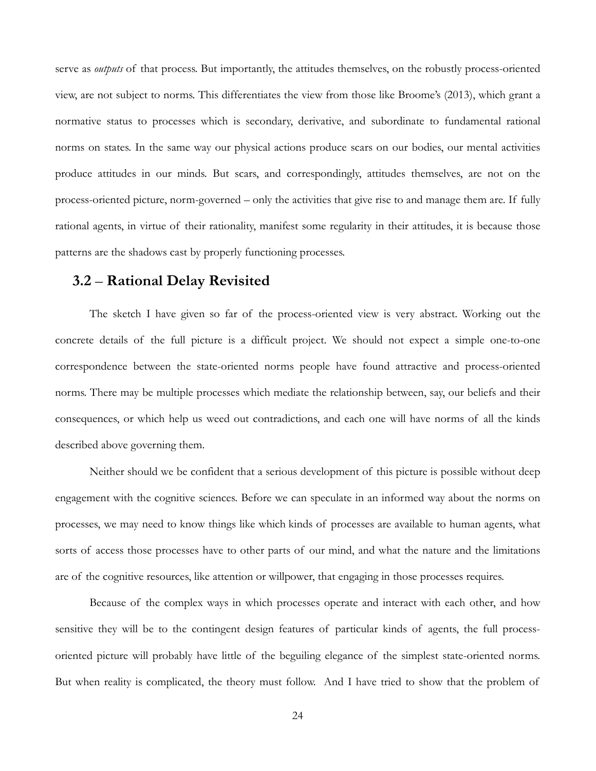serve as *outputs* of that process. But importantly, the attitudes themselves, on the robustly process-oriented view, are not subject to norms. This differentiates the view from those like Broome's (2013), which grant a normative status to processes which is secondary, derivative, and subordinate to fundamental rational norms on states. In the same way our physical actions produce scars on our bodies, our mental activities produce attitudes in our minds. But scars, and correspondingly, attitudes themselves, are not on the process-oriented picture, norm-governed – only the activities that give rise to and manage them are. If fully rational agents, in virtue of their rationality, manifest some regularity in their attitudes, it is because those patterns are the shadows cast by properly functioning processes.

# **3.2** – **Rational Delay Revisited**

The sketch I have given so far of the process-oriented view is very abstract. Working out the concrete details of the full picture is a difficult project. We should not expect a simple one-to-one correspondence between the state-oriented norms people have found attractive and process-oriented norms. There may be multiple processes which mediate the relationship between, say, our beliefs and their consequences, or which help us weed out contradictions, and each one will have norms of all the kinds described above governing them.

Neither should we be confident that a serious development of this picture is possible without deep engagement with the cognitive sciences. Before we can speculate in an informed way about the norms on processes, we may need to know things like which kinds of processes are available to human agents, what sorts of access those processes have to other parts of our mind, and what the nature and the limitations are of the cognitive resources, like attention or willpower, that engaging in those processes requires.

Because of the complex ways in which processes operate and interact with each other, and how sensitive they will be to the contingent design features of particular kinds of agents, the full processoriented picture will probably have little of the beguiling elegance of the simplest state-oriented norms. But when reality is complicated, the theory must follow. And I have tried to show that the problem of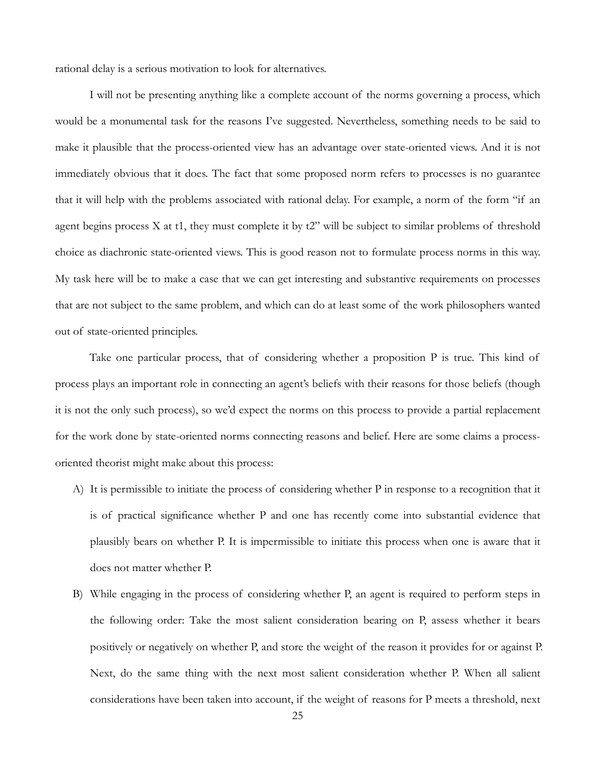rational delay is a serious motivation to look for alternatives.

I will not be presenting anything like a complete account of the norms governing a process, which would be a monumental task for the reasons I've suggested. Nevertheless, something needs to be said to make it plausible that the process-oriented view has an advantage over state-oriented views. And it is not immediately obvious that it does. The fact that some proposed norm refers to processes is no guarantee that it will help with the problems associated with rational delay. For example, a norm of the form "if an agent begins process X at t1, they must complete it by t2" will be subject to similar problems of threshold choice as diachronic state-oriented views. This is good reason not to formulate process norms in this way. My task here will be to make a case that we can get interesting and substantive requirements on processes that are not subject to the same problem, and which can do at least some of the work philosophers wanted out of state-oriented principles.

Take one particular process, that of considering whether a proposition P is true. This kind of process plays an important role in connecting an agent's beliefs with their reasons for those beliefs (though it is not the only such process), so we'd expect the norms on this process to provide a partial replacement for the work done by state-oriented norms connecting reasons and belief. Here are some claims a processoriented theorist might make about this process:

- A) It is permissible to initiate the process of considering whether P in response to a recognition that it is of practical significance whether P and one has recently come into substantial evidence that plausibly bears on whether P. It is impermissible to initiate this process when one is aware that it does not matter whether P.
- B) While engaging in the process of considering whether P, an agent is required to perform steps in the following order: Take the most salient consideration bearing on P, assess whether it bears positively or negatively on whether P, and store the weight of the reason it provides for or against P. Next, do the same thing with the next most salient consideration whether P. When all salient considerations have been taken into account, if the weight of reasons for P meets a threshold, next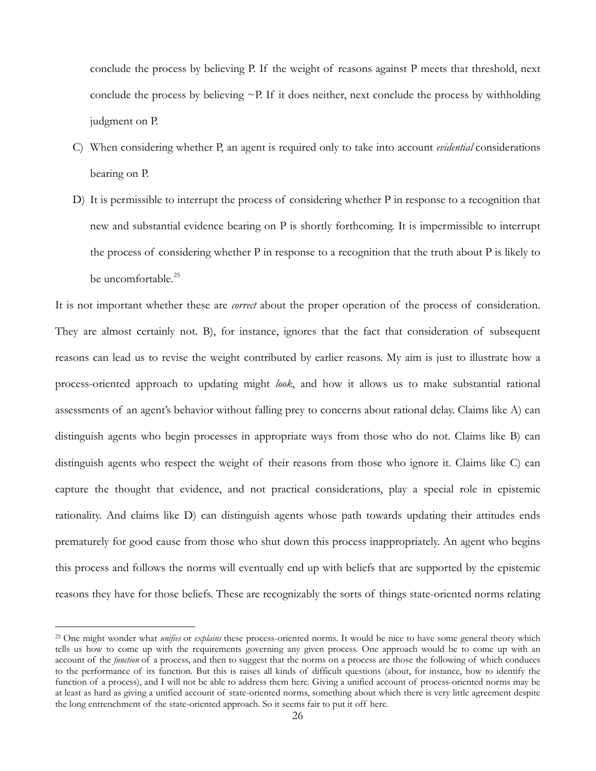conclude the process by believing P. If the weight of reasons against P meets that threshold, next conclude the process by believing  $\sim$ P. If it does neither, next conclude the process by withholding judgment on P.

- C) When considering whether P, an agent is required only to take into account *evidential* considerations bearing on P.
- D) It is permissible to interrupt the process of considering whether P in response to a recognition that new and substantial evidence bearing on P is shortly forthcoming. It is impermissible to interrupt the process of considering whether P in response to a recognition that the truth about P is likely to be uncomfortable.<sup>[25](#page-25-0)</sup>

It is not important whether these are *correct* about the proper operation of the process of consideration. They are almost certainly not. B), for instance, ignores that the fact that consideration of subsequent reasons can lead us to revise the weight contributed by earlier reasons. My aim is just to illustrate how a process-oriented approach to updating might *look*, and how it allows us to make substantial rational assessments of an agent's behavior without falling prey to concerns about rational delay. Claims like A) can distinguish agents who begin processes in appropriate ways from those who do not. Claims like B) can distinguish agents who respect the weight of their reasons from those who ignore it. Claims like C) can capture the thought that evidence, and not practical considerations, play a special role in epistemic rationality. And claims like D) can distinguish agents whose path towards updating their attitudes ends prematurely for good cause from those who shut down this process inappropriately. An agent who begins this process and follows the norms will eventually end up with beliefs that are supported by the epistemic reasons they have for those beliefs. These are recognizably the sorts of things state-oriented norms relating

<span id="page-25-0"></span><sup>25</sup> One might wonder what *unifies* or *explains* these process-oriented norms. It would be nice to have some general theory which tells us how to come up with the requirements governing any given process. One approach would be to come up with an account of the *function* of a process, and then to suggest that the norms on a process are those the following of which conduces to the performance of its function. But this is raises all kinds of difficult questions (about, for instance, how to identify the function of a process), and I will not be able to address them here. Giving a unified account of process-oriented norms may be at least as hard as giving a unified account of state-oriented norms, something about which there is very little agreement despite the long entrenchment of the state-oriented approach. So it seems fair to put it off here.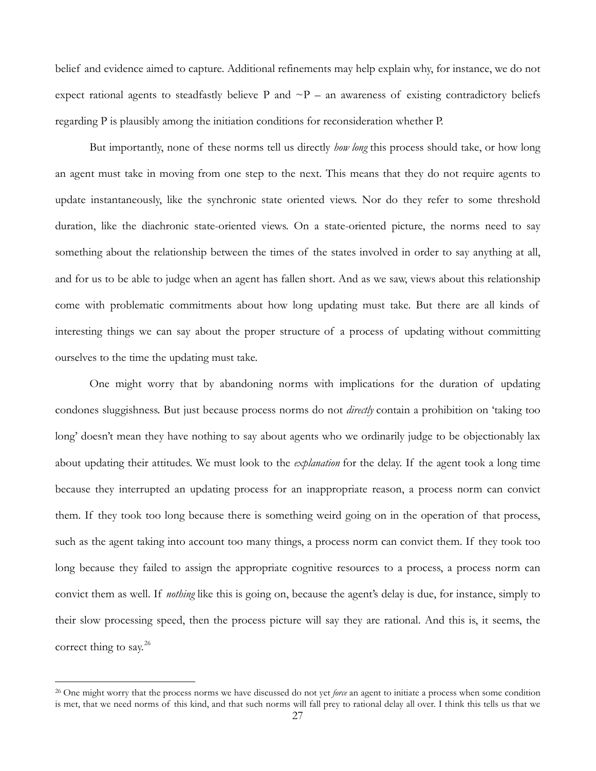belief and evidence aimed to capture. Additional refinements may help explain why, for instance, we do not expect rational agents to steadfastly believe P and  $\sim P$  – an awareness of existing contradictory beliefs regarding P is plausibly among the initiation conditions for reconsideration whether P.

But importantly, none of these norms tell us directly *how long* this process should take, or how long an agent must take in moving from one step to the next. This means that they do not require agents to update instantaneously, like the synchronic state oriented views. Nor do they refer to some threshold duration, like the diachronic state-oriented views. On a state-oriented picture, the norms need to say something about the relationship between the times of the states involved in order to say anything at all, and for us to be able to judge when an agent has fallen short. And as we saw, views about this relationship come with problematic commitments about how long updating must take. But there are all kinds of interesting things we can say about the proper structure of a process of updating without committing ourselves to the time the updating must take.

One might worry that by abandoning norms with implications for the duration of updating condones sluggishness. But just because process norms do not *directly* contain a prohibition on 'taking too long' doesn't mean they have nothing to say about agents who we ordinarily judge to be objectionably lax about updating their attitudes. We must look to the *explanation* for the delay. If the agent took a long time because they interrupted an updating process for an inappropriate reason, a process norm can convict them. If they took too long because there is something weird going on in the operation of that process, such as the agent taking into account too many things, a process norm can convict them. If they took too long because they failed to assign the appropriate cognitive resources to a process, a process norm can convict them as well. If *nothing* like this is going on, because the agent's delay is due, for instance, simply to their slow processing speed, then the process picture will say they are rational. And this is, it seems, the correct thing to say.<sup>[26](#page-26-0)</sup>

<span id="page-26-0"></span><sup>26</sup> One might worry that the process norms we have discussed do not yet *force* an agent to initiate a process when some condition is met, that we need norms of this kind, and that such norms will fall prey to rational delay all over. I think this tells us that we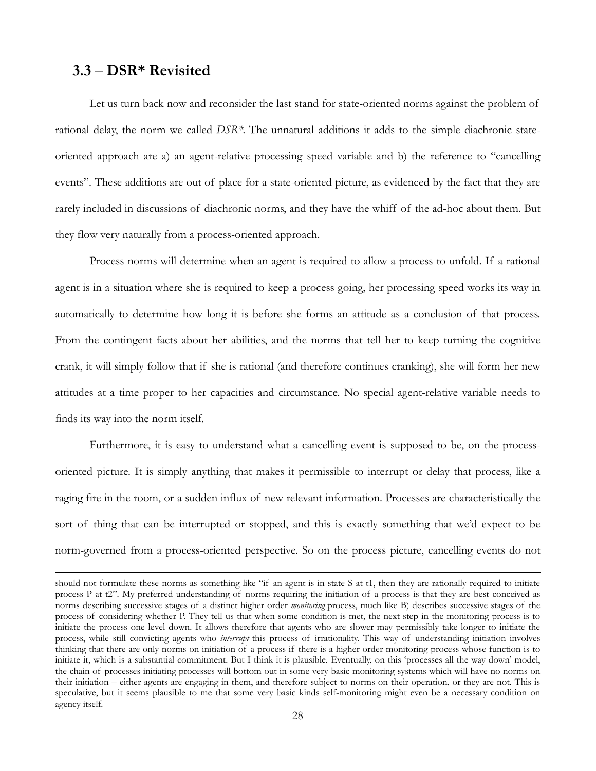#### **3.3** – **DSR\* Revisited**

 $\overline{a}$ 

Let us turn back now and reconsider the last stand for state-oriented norms against the problem of rational delay, the norm we called *DSR\*.* The unnatural additions it adds to the simple diachronic stateoriented approach are a) an agent-relative processing speed variable and b) the reference to "cancelling events". These additions are out of place for a state-oriented picture, as evidenced by the fact that they are rarely included in discussions of diachronic norms, and they have the whiff of the ad-hoc about them. But they flow very naturally from a process-oriented approach.

Process norms will determine when an agent is required to allow a process to unfold. If a rational agent is in a situation where she is required to keep a process going, her processing speed works its way in automatically to determine how long it is before she forms an attitude as a conclusion of that process. From the contingent facts about her abilities, and the norms that tell her to keep turning the cognitive crank, it will simply follow that if she is rational (and therefore continues cranking), she will form her new attitudes at a time proper to her capacities and circumstance. No special agent-relative variable needs to finds its way into the norm itself.

Furthermore, it is easy to understand what a cancelling event is supposed to be, on the processoriented picture. It is simply anything that makes it permissible to interrupt or delay that process, like a raging fire in the room, or a sudden influx of new relevant information. Processes are characteristically the sort of thing that can be interrupted or stopped, and this is exactly something that we'd expect to be norm-governed from a process-oriented perspective. So on the process picture, cancelling events do not

should not formulate these norms as something like "if an agent is in state S at t1, then they are rationally required to initiate process P at t2". My preferred understanding of norms requiring the initiation of a process is that they are best conceived as norms describing successive stages of a distinct higher order *monitoring* process, much like B) describes successive stages of the process of considering whether P. They tell us that when some condition is met, the next step in the monitoring process is to initiate the process one level down. It allows therefore that agents who are slower may permissibly take longer to initiate the process, while still convicting agents who *interrupt* this process of irrationality. This way of understanding initiation involves thinking that there are only norms on initiation of a process if there is a higher order monitoring process whose function is to initiate it, which is a substantial commitment. But I think it is plausible. Eventually, on this 'processes all the way down' model, the chain of processes initiating processes will bottom out in some very basic monitoring systems which will have no norms on their initiation – either agents are engaging in them, and therefore subject to norms on their operation, or they are not. This is speculative, but it seems plausible to me that some very basic kinds self-monitoring might even be a necessary condition on agency itself.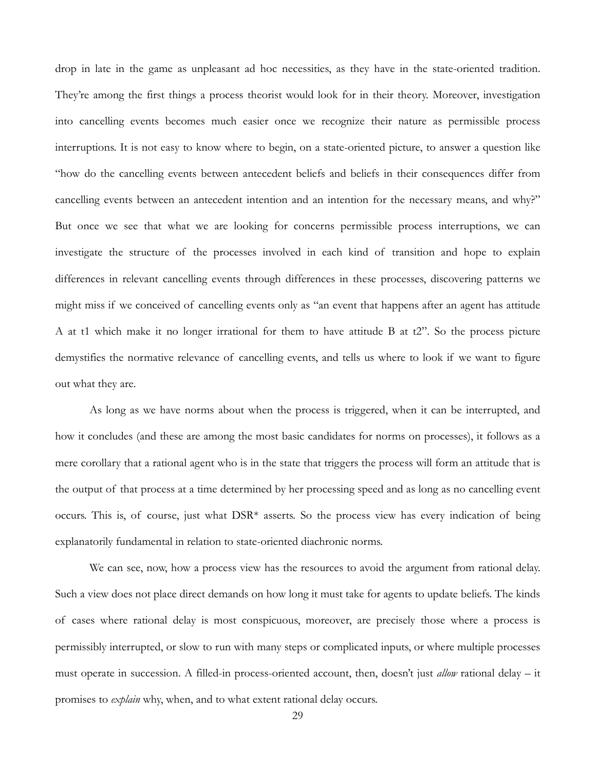drop in late in the game as unpleasant ad hoc necessities, as they have in the state-oriented tradition. They're among the first things a process theorist would look for in their theory. Moreover, investigation into cancelling events becomes much easier once we recognize their nature as permissible process interruptions. It is not easy to know where to begin, on a state-oriented picture, to answer a question like "how do the cancelling events between antecedent beliefs and beliefs in their consequences differ from cancelling events between an antecedent intention and an intention for the necessary means, and why?" But once we see that what we are looking for concerns permissible process interruptions, we can investigate the structure of the processes involved in each kind of transition and hope to explain differences in relevant cancelling events through differences in these processes, discovering patterns we might miss if we conceived of cancelling events only as "an event that happens after an agent has attitude A at t1 which make it no longer irrational for them to have attitude B at t2". So the process picture demystifies the normative relevance of cancelling events, and tells us where to look if we want to figure out what they are.

As long as we have norms about when the process is triggered, when it can be interrupted, and how it concludes (and these are among the most basic candidates for norms on processes), it follows as a mere corollary that a rational agent who is in the state that triggers the process will form an attitude that is the output of that process at a time determined by her processing speed and as long as no cancelling event occurs. This is, of course, just what DSR\* asserts. So the process view has every indication of being explanatorily fundamental in relation to state-oriented diachronic norms.

We can see, now, how a process view has the resources to avoid the argument from rational delay. Such a view does not place direct demands on how long it must take for agents to update beliefs. The kinds of cases where rational delay is most conspicuous, moreover, are precisely those where a process is permissibly interrupted, or slow to run with many steps or complicated inputs, or where multiple processes must operate in succession. A filled-in process-oriented account, then, doesn't just *allow* rational delay – it promises to *explain* why, when, and to what extent rational delay occurs.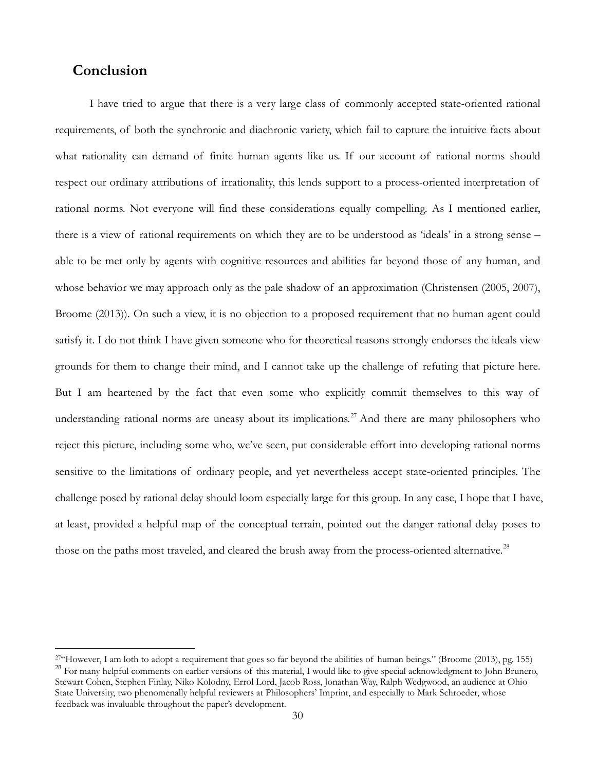# **Conclusion**

 $\overline{a}$ 

I have tried to argue that there is a very large class of commonly accepted state-oriented rational requirements, of both the synchronic and diachronic variety, which fail to capture the intuitive facts about what rationality can demand of finite human agents like us. If our account of rational norms should respect our ordinary attributions of irrationality, this lends support to a process-oriented interpretation of rational norms. Not everyone will find these considerations equally compelling. As I mentioned earlier, there is a view of rational requirements on which they are to be understood as 'ideals' in a strong sense – able to be met only by agents with cognitive resources and abilities far beyond those of any human, and whose behavior we may approach only as the pale shadow of an approximation (Christensen (2005, 2007), Broome (2013)). On such a view, it is no objection to a proposed requirement that no human agent could satisfy it. I do not think I have given someone who for theoretical reasons strongly endorses the ideals view grounds for them to change their mind, and I cannot take up the challenge of refuting that picture here. But I am heartened by the fact that even some who explicitly commit themselves to this way of understanding rational norms are uneasy about its implications.<sup>[27](#page-29-0)</sup> And there are many philosophers who reject this picture, including some who, we've seen, put considerable effort into developing rational norms sensitive to the limitations of ordinary people, and yet nevertheless accept state-oriented principles. The challenge posed by rational delay should loom especially large for this group. In any case, I hope that I have, at least, provided a helpful map of the conceptual terrain, pointed out the danger rational delay poses to those on the paths most traveled, and cleared the brush away from the process-oriented alternative.<sup>[28](#page-29-1)</sup>

<span id="page-29-1"></span><span id="page-29-0"></span><sup>&</sup>lt;sup>27"</sup>However, I am loth to adopt a requirement that goes so far beyond the abilities of human beings." (Broome (2013), pg. 155) <sup>28</sup> For many helpful comments on earlier versions of this material, I would like to give special acknowledgment to John Brunero, Stewart Cohen, Stephen Finlay, Niko Kolodny, Errol Lord, Jacob Ross, Jonathan Way, Ralph Wedgwood, an audience at Ohio State University, two phenomenally helpful reviewers at Philosophers' Imprint, and especially to Mark Schroeder, whose feedback was invaluable throughout the paper's development.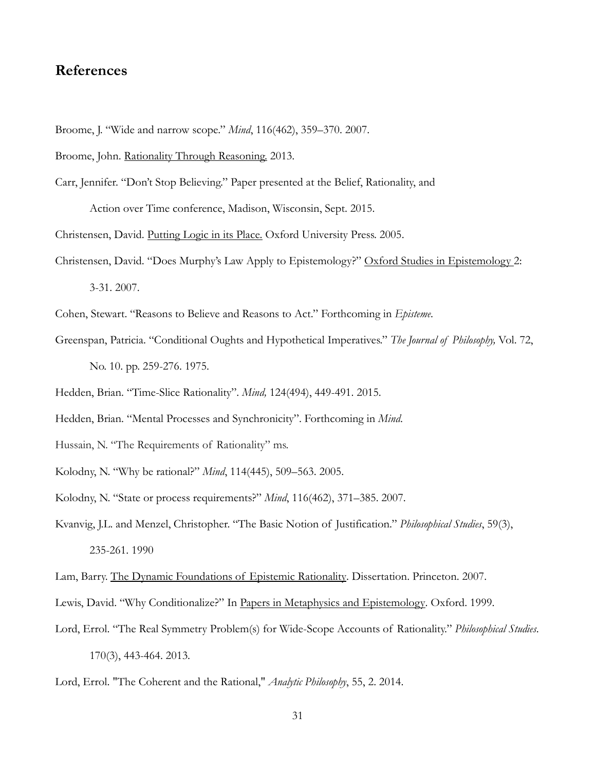# **References**

- Broome, J. "Wide and narrow scope." *Mind*, 116(462), 359–370. 2007.
- Broome, John. Rationality Through Reasoning. 2013.
- Carr, Jennifer. "Don't Stop Believing." Paper presented at the Belief, Rationality, and Action over Time conference, Madison, Wisconsin, Sept. 2015.
- Christensen, David. Putting Logic in its Place. Oxford University Press. 2005.
- Christensen, David. "Does Murphy's Law Apply to Epistemology?" Oxford Studies in Epistemology 2: 3-31. 2007.
- Cohen, Stewart. "Reasons to Believe and Reasons to Act." Forthcoming in *Episteme*.
- Greenspan, Patricia. "Conditional Oughts and Hypothetical Imperatives." *The Journal of Philosophy,* Vol. 72, No. 10. pp. 259-276. 1975.
- Hedden, Brian. "Time-Slice Rationality". *Mind,* 124(494), 449-491. 2015.
- Hedden, Brian. "Mental Processes and Synchronicity". Forthcoming in *Mind*.
- Hussain, N. "The Requirements of Rationality" ms.
- Kolodny, N. "Why be rational?" *Mind*, 114(445), 509–563. 2005.
- Kolodny, N. "State or process requirements?" *Mind*, 116(462), 371–385. 2007.
- Kvanvig, J.L. and Menzel, Christopher. "The Basic Notion of Justification." *Philosophical Studies*, 59(3), 235-261. 1990
- Lam, Barry. The Dynamic Foundations of Epistemic Rationality. Dissertation. Princeton. 2007.
- Lewis, David. "Why Conditionalize?" In Papers in Metaphysics and Epistemology. Oxford. 1999.
- Lord, Errol. "The Real Symmetry Problem(s) for Wide-Scope Accounts of Rationality." *Philosophical Studies*. 170(3), 443-464. 2013.
- Lord, Errol. "The Coherent and the Rational," *Analytic Philosophy*, 55, 2. 2014.